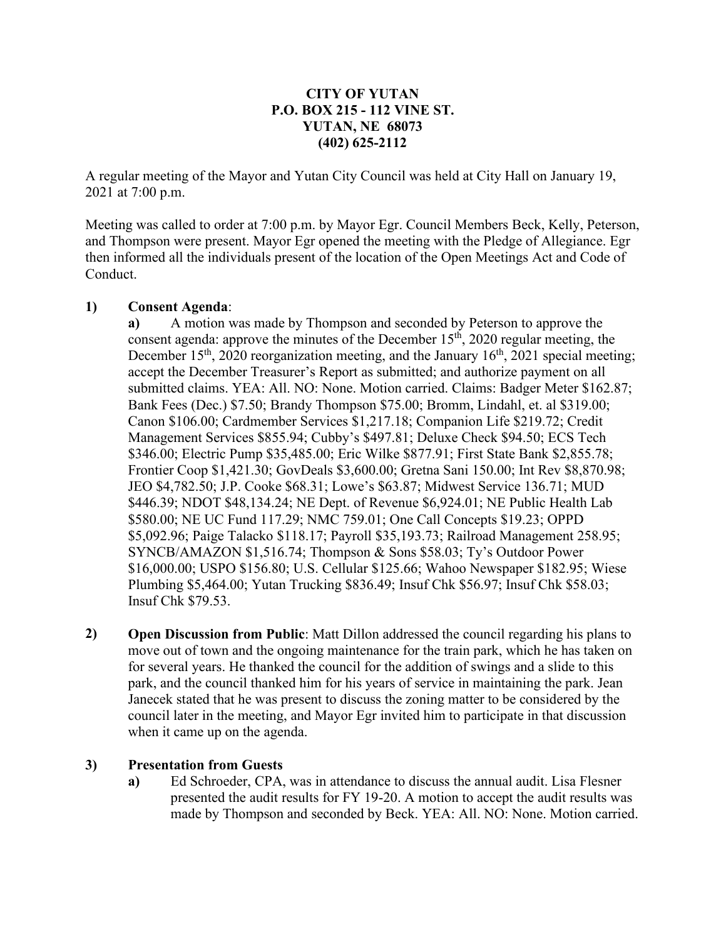### **CITY OF YUTAN P.O. BOX 215 - 112 VINE ST. YUTAN, NE 68073 (402) 625-2112**

A regular meeting of the Mayor and Yutan City Council was held at City Hall on January 19, 2021 at 7:00 p.m.

Meeting was called to order at 7:00 p.m. by Mayor Egr. Council Members Beck, Kelly, Peterson, and Thompson were present. Mayor Egr opened the meeting with the Pledge of Allegiance. Egr then informed all the individuals present of the location of the Open Meetings Act and Code of Conduct.

#### **1) Consent Agenda**:

**a)** A motion was made by Thompson and seconded by Peterson to approve the consent agenda: approve the minutes of the December  $15<sup>th</sup>$ , 2020 regular meeting, the December  $15<sup>th</sup>$ , 2020 reorganization meeting, and the January  $16<sup>th</sup>$ , 2021 special meeting; accept the December Treasurer's Report as submitted; and authorize payment on all submitted claims. YEA: All. NO: None. Motion carried. Claims: Badger Meter \$162.87; Bank Fees (Dec.) \$7.50; Brandy Thompson \$75.00; Bromm, Lindahl, et. al \$319.00; Canon \$106.00; Cardmember Services \$1,217.18; Companion Life \$219.72; Credit Management Services \$855.94; Cubby's \$497.81; Deluxe Check \$94.50; ECS Tech \$346.00; Electric Pump \$35,485.00; Eric Wilke \$877.91; First State Bank \$2,855.78; Frontier Coop \$1,421.30; GovDeals \$3,600.00; Gretna Sani 150.00; Int Rev \$8,870.98; JEO \$4,782.50; J.P. Cooke \$68.31; Lowe's \$63.87; Midwest Service 136.71; MUD \$446.39; NDOT \$48,134.24; NE Dept. of Revenue \$6,924.01; NE Public Health Lab \$580.00; NE UC Fund 117.29; NMC 759.01; One Call Concepts \$19.23; OPPD \$5,092.96; Paige Talacko \$118.17; Payroll \$35,193.73; Railroad Management 258.95; SYNCB/AMAZON \$1,516.74; Thompson & Sons \$58.03; Ty's Outdoor Power \$16,000.00; USPO \$156.80; U.S. Cellular \$125.66; Wahoo Newspaper \$182.95; Wiese Plumbing \$5,464.00; Yutan Trucking \$836.49; Insuf Chk \$56.97; Insuf Chk \$58.03; Insuf Chk \$79.53.

**2) Open Discussion from Public**: Matt Dillon addressed the council regarding his plans to move out of town and the ongoing maintenance for the train park, which he has taken on for several years. He thanked the council for the addition of swings and a slide to this park, and the council thanked him for his years of service in maintaining the park. Jean Janecek stated that he was present to discuss the zoning matter to be considered by the council later in the meeting, and Mayor Egr invited him to participate in that discussion when it came up on the agenda.

#### **3) Presentation from Guests**

**a)** Ed Schroeder, CPA, was in attendance to discuss the annual audit. Lisa Flesner presented the audit results for FY 19-20. A motion to accept the audit results was made by Thompson and seconded by Beck. YEA: All. NO: None. Motion carried.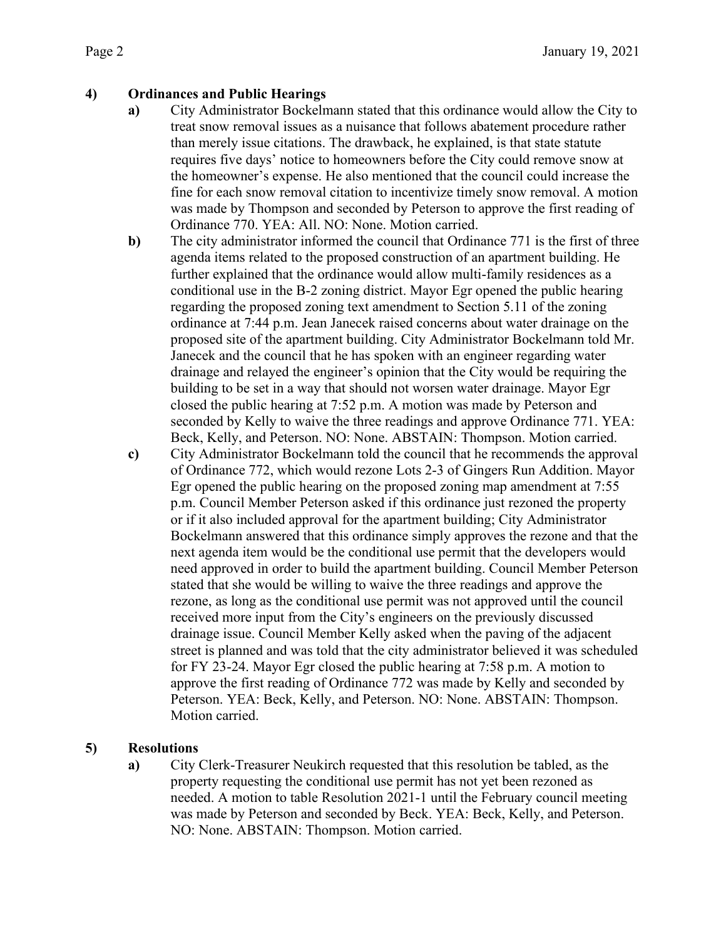# **4) Ordinances and Public Hearings**

- **a)** City Administrator Bockelmann stated that this ordinance would allow the City to treat snow removal issues as a nuisance that follows abatement procedure rather than merely issue citations. The drawback, he explained, is that state statute requires five days' notice to homeowners before the City could remove snow at the homeowner's expense. He also mentioned that the council could increase the fine for each snow removal citation to incentivize timely snow removal. A motion was made by Thompson and seconded by Peterson to approve the first reading of Ordinance 770. YEA: All. NO: None. Motion carried.
- **b**) The city administrator informed the council that Ordinance 771 is the first of three agenda items related to the proposed construction of an apartment building. He further explained that the ordinance would allow multi-family residences as a conditional use in the B-2 zoning district. Mayor Egr opened the public hearing regarding the proposed zoning text amendment to Section 5.11 of the zoning ordinance at 7:44 p.m. Jean Janecek raised concerns about water drainage on the proposed site of the apartment building. City Administrator Bockelmann told Mr. Janecek and the council that he has spoken with an engineer regarding water drainage and relayed the engineer's opinion that the City would be requiring the building to be set in a way that should not worsen water drainage. Mayor Egr closed the public hearing at 7:52 p.m. A motion was made by Peterson and seconded by Kelly to waive the three readings and approve Ordinance 771. YEA: Beck, Kelly, and Peterson. NO: None. ABSTAIN: Thompson. Motion carried.
- **c)** City Administrator Bockelmann told the council that he recommends the approval of Ordinance 772, which would rezone Lots 2-3 of Gingers Run Addition. Mayor Egr opened the public hearing on the proposed zoning map amendment at 7:55 p.m. Council Member Peterson asked if this ordinance just rezoned the property or if it also included approval for the apartment building; City Administrator Bockelmann answered that this ordinance simply approves the rezone and that the next agenda item would be the conditional use permit that the developers would need approved in order to build the apartment building. Council Member Peterson stated that she would be willing to waive the three readings and approve the rezone, as long as the conditional use permit was not approved until the council received more input from the City's engineers on the previously discussed drainage issue. Council Member Kelly asked when the paving of the adjacent street is planned and was told that the city administrator believed it was scheduled for FY 23-24. Mayor Egr closed the public hearing at 7:58 p.m. A motion to approve the first reading of Ordinance 772 was made by Kelly and seconded by Peterson. YEA: Beck, Kelly, and Peterson. NO: None. ABSTAIN: Thompson. Motion carried.

# **5) Resolutions**

**a)** City Clerk-Treasurer Neukirch requested that this resolution be tabled, as the property requesting the conditional use permit has not yet been rezoned as needed. A motion to table Resolution 2021-1 until the February council meeting was made by Peterson and seconded by Beck. YEA: Beck, Kelly, and Peterson. NO: None. ABSTAIN: Thompson. Motion carried.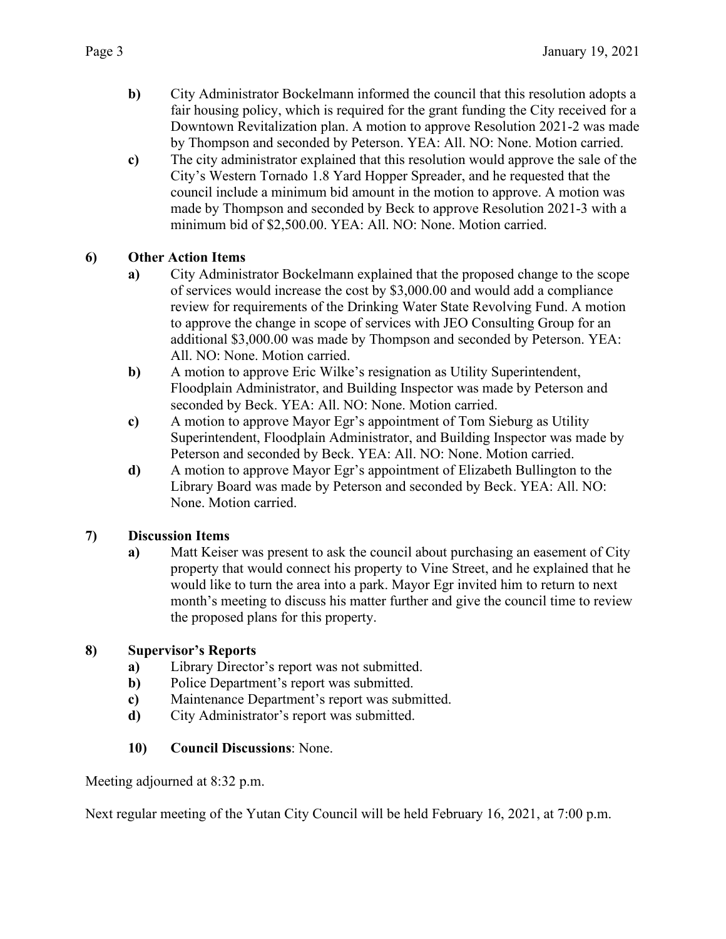- **b)** City Administrator Bockelmann informed the council that this resolution adopts a fair housing policy, which is required for the grant funding the City received for a Downtown Revitalization plan. A motion to approve Resolution 2021-2 was made by Thompson and seconded by Peterson. YEA: All. NO: None. Motion carried.
- **c)** The city administrator explained that this resolution would approve the sale of the City's Western Tornado 1.8 Yard Hopper Spreader, and he requested that the council include a minimum bid amount in the motion to approve. A motion was made by Thompson and seconded by Beck to approve Resolution 2021-3 with a minimum bid of \$2,500.00. YEA: All. NO: None. Motion carried.

### **6) Other Action Items**

- **a)** City Administrator Bockelmann explained that the proposed change to the scope of services would increase the cost by \$3,000.00 and would add a compliance review for requirements of the Drinking Water State Revolving Fund. A motion to approve the change in scope of services with JEO Consulting Group for an additional \$3,000.00 was made by Thompson and seconded by Peterson. YEA: All. NO: None. Motion carried.
- **b)** A motion to approve Eric Wilke's resignation as Utility Superintendent, Floodplain Administrator, and Building Inspector was made by Peterson and seconded by Beck. YEA: All. NO: None. Motion carried.
- **c)** A motion to approve Mayor Egr's appointment of Tom Sieburg as Utility Superintendent, Floodplain Administrator, and Building Inspector was made by Peterson and seconded by Beck. YEA: All. NO: None. Motion carried.
- **d)** A motion to approve Mayor Egr's appointment of Elizabeth Bullington to the Library Board was made by Peterson and seconded by Beck. YEA: All. NO: None. Motion carried.

### **7) Discussion Items**

**a)** Matt Keiser was present to ask the council about purchasing an easement of City property that would connect his property to Vine Street, and he explained that he would like to turn the area into a park. Mayor Egr invited him to return to next month's meeting to discuss his matter further and give the council time to review the proposed plans for this property.

### **8) Supervisor's Reports**

- **a)** Library Director's report was not submitted.
- **b)** Police Department's report was submitted.
- **c)** Maintenance Department's report was submitted.
- **d)** City Administrator's report was submitted.

### **10) Council Discussions**: None.

Meeting adjourned at 8:32 p.m.

Next regular meeting of the Yutan City Council will be held February 16, 2021, at 7:00 p.m.